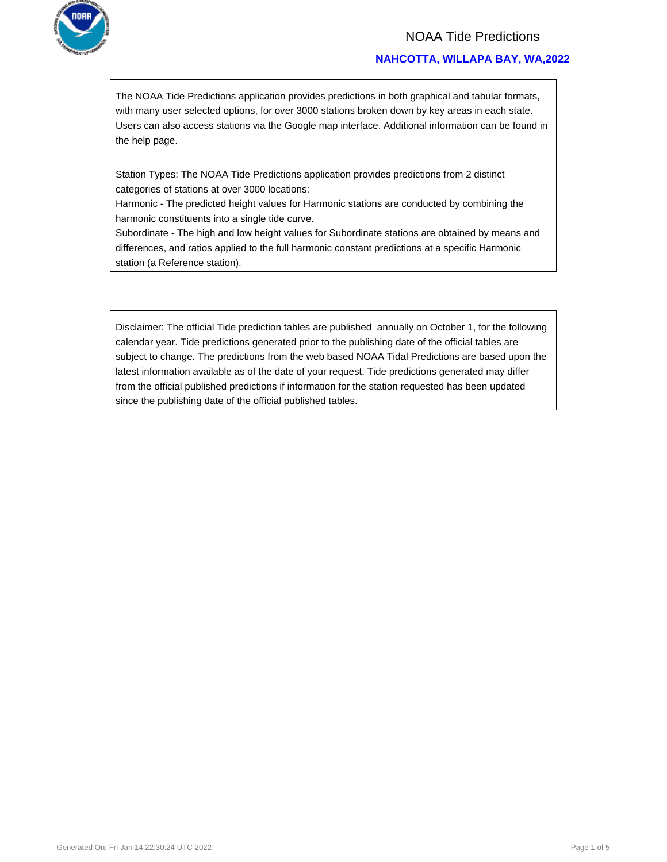

### NOAA Tide Predictions

### **NAHCOTTA, WILLAPA BAY, WA,2022**

The NOAA Tide Predictions application provides predictions in both graphical and tabular formats, with many user selected options, for over 3000 stations broken down by key areas in each state. Users can also access stations via the Google map interface. Additional information can be found in the help page.

Station Types: The NOAA Tide Predictions application provides predictions from 2 distinct categories of stations at over 3000 locations:

Harmonic - The predicted height values for Harmonic stations are conducted by combining the harmonic constituents into a single tide curve.

Subordinate - The high and low height values for Subordinate stations are obtained by means and differences, and ratios applied to the full harmonic constant predictions at a specific Harmonic station (a Reference station).

Disclaimer: The official Tide prediction tables are published annually on October 1, for the following calendar year. Tide predictions generated prior to the publishing date of the official tables are subject to change. The predictions from the web based NOAA Tidal Predictions are based upon the latest information available as of the date of your request. Tide predictions generated may differ from the official published predictions if information for the station requested has been updated since the publishing date of the official published tables.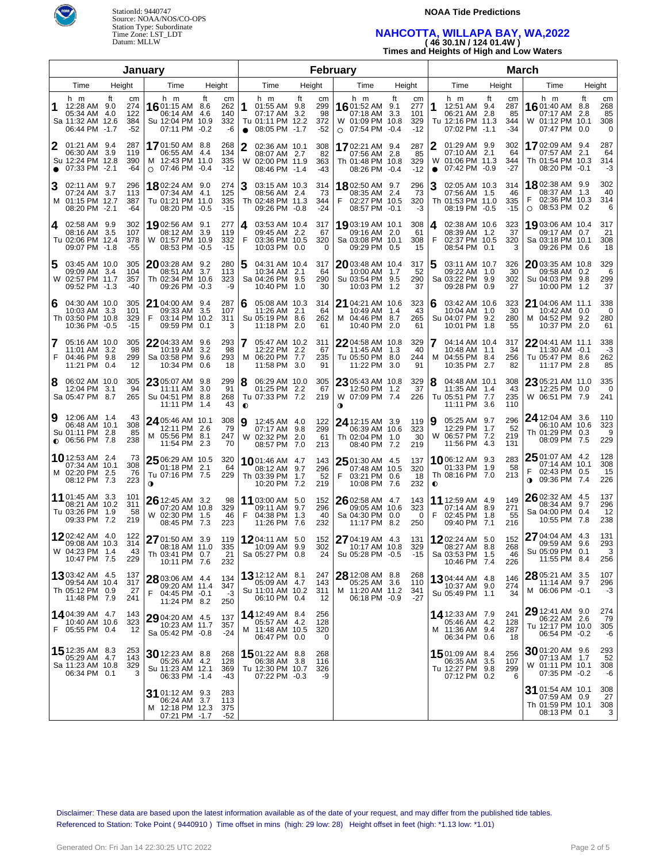

### **NOAA Tide Predictions**

## **NAHCOTTA, WILLAPA BAY, WA,2022 ( 46 30.1N / 124 01.4W )**

**Times and Heights of High and Low Waters**

|                |                                                                            |        | January                          |   |                                                                            |     |                                       |                | February                                                                  |        |                               |   |                                                                            |                     |                                  |                     | March                                                                    |                   |                                 |                                          |                                               |           |                             |  |
|----------------|----------------------------------------------------------------------------|--------|----------------------------------|---|----------------------------------------------------------------------------|-----|---------------------------------------|----------------|---------------------------------------------------------------------------|--------|-------------------------------|---|----------------------------------------------------------------------------|---------------------|----------------------------------|---------------------|--------------------------------------------------------------------------|-------------------|---------------------------------|------------------------------------------|-----------------------------------------------|-----------|-----------------------------|--|
|                | Time                                                                       | Height |                                  |   | Time                                                                       |     | Height                                |                | Time                                                                      | Height |                               |   | Time                                                                       |                     | Height                           |                     | Time                                                                     |                   | Height                          |                                          | Time                                          | Height    |                             |  |
| 1              | h m<br>12:28 AM 9.0<br>05:34 AM 4.0<br>Sa 11:32 AM 12.6<br>06:44 PM -1.7   | ft     | cm<br>274<br>122<br>384<br>$-52$ |   | h m<br>1601:15 AM 8.6<br>06:14 AM 4.6<br>Su 12:04 PM 10.9<br>07:11 PM -0.2 | ft  | cm<br>262<br>140<br>332<br>-6         | 1<br>$\bullet$ | h m<br>01:55 AM 9.8<br>07:17 AM 3.2<br>Tu 01:11 PM 12.2<br>08:05 PM -1.7  | ft     | cm<br>299<br>98<br>372<br>-52 |   | h m<br>1601:52 AM 9.1<br>07:18 AM<br>W 01:09 PM 10.8<br>$\circ$ 07:54 PM   | ft<br>3.3<br>$-0.4$ | cm<br>277<br>101<br>329<br>$-12$ | 1                   | h m<br>12:51 AM 9.4<br>06:21 AM 2.8<br>Tu 12:16 PM 11.3<br>07:02 PM -1.1 | ft                | cm<br>287<br>85<br>344<br>$-34$ | h m<br>1601:40 AM 8.8<br>W 01:12 PM 10.1 | 07:17 AM<br>07:47 PM 0.0                      | ft<br>2.8 | cm<br>268<br>85<br>308<br>0 |  |
| 2<br>$\bullet$ | 01:21 AM 9.4<br>06:30 AM 3.9<br>Su 12:24 PM 12.8<br>07:33 PM -2.1          |        | 287<br>119<br>390<br>-64         |   | 17 01:50 AM 8.8<br>06:55 AM 4.4<br>M 12:43 PM 11.0<br>○ 07:46 PM -0.4      |     | 268<br>134<br>335<br>$-12$            | 2<br>W         | 02:36 AM 10.1<br>08:07 AM 2.7<br>02:00 PM 11.9<br>08:46 PM -1.4           |        | 308<br>82<br>363<br>-43       |   | 1702:21 AM 9.4<br>07:56 AM 2.8<br>Th 01:48 PM 10.8<br>08:26 PM -0.4        |                     | 287<br>85<br>329<br>$-12$        | 2<br>W<br>$\bullet$ | 01:29 AM 9.9<br>07:10 AM 2.1<br>01:06 PM 11.3<br>07:42 PM -0.9           |                   | 302<br>64<br>344<br>-27         | 1702:09 AM 9.4<br>Th 01:54 PM 10.3       | 07:57 AM 2.1<br>08:20 PM -0.1                 |           | 287<br>64<br>314<br>-3      |  |
| 3<br>M         | 02:11 AM 9.7<br>07:24 AM 3.7<br>01:15 PM 12.7<br>08:20 PM -2.1             |        | 296<br>113<br>387<br>-64         |   | 1802:24 AM 9.0<br>07:34 AM 4.1<br>Tu 01:21 PM 11.0<br>08:20 PM -0.5        |     | 274<br>125<br>335<br>$-15$            | 3              | 03:15 AM 10.3<br>08:56 AM 2.4<br>Th 02:48 PM 11.3<br>09:26 PM -0.8        |        | 314<br>73<br>344<br>$-24$     | F | 1802:50 AM 9.7<br>08:35 AM 2.4<br>02:27 PM 10.5<br>08:57 PM -0.1           |                     | 296<br>73<br>320<br>-3           | 3                   | 02:05 AM 10.3<br>07:56 AM 1.5<br>Th 01:53 PM 11.0<br>08:19 PM -0.5       |                   | 314<br>46<br>335<br>$-15$       | <b>18</b> 02:38 AM 9.9<br>F<br>$\circ$   | 08:37 AM 1.3<br>02:36 PM 10.3<br>08:53 PM 0.2 |           | 302<br>40<br>314<br>6       |  |
| 4              | 02:58 AM 9.9<br>08:16 AM 3.5<br>Tu 02:06 PM 12.4<br>09:07 PM -1.8          |        | 302<br>107<br>378<br>-55         |   | 19 02:56 AM 9.1<br>08:12 AM 3.9<br>W 01:57 PM 10.9<br>08:53 PM -0.5        |     | 277<br>119<br>332<br>$-15$            | 4<br>F         | 03:53 AM 10.4<br>09:45 AM 2.2<br>03:36 PM 10.5<br>10:03 PM 0.0            |        | 317<br>67<br>320<br>0         |   | 19 03:19 AM 10.1<br>09:16 AM 2.0<br>Sa 03:08 PM 10.1<br>09:29 PM 0.5       |                     | 308<br>61<br>308<br>15           | 4<br>F              | 02:38 AM 10.6<br>08:39 AM 1.2<br>02:37 PM 10.5<br>08:54 PM 0.1           |                   | 323<br>37<br>320<br>3           | 1903:06 AM 10.4<br>Sa 03:18 PM 10.1      | 09:17 AM 0.7<br>09:26 PM 0.6                  |           | 317<br>21<br>308<br>18      |  |
| 5              | 03:45 AM 10.0<br>09:09 AM 3.4<br>W 02:57 PM 11.7<br>09:52 PM -1.3          |        | 305<br>104<br>357<br>-40         |   | 2003:28 AM 9.2<br>08:51 AM 3.7<br>Th 02:34 PM 10.6<br>09:26 PM -0.3        |     | 280<br>113<br>323<br>-9               | 5              | 04:31 AM 10.4<br>10:34 AM 2.1<br>Sa 04:26 PM 9.5<br>10:40 PM 1.0          |        | 317<br>64<br>290<br>30        |   | 2003:48 AM 10.4<br>10:00 AM 1.7<br>Su 03:54 PM 9.5<br>10:03 PM 1.2         |                     | 317<br>52<br>290<br>37           | 5                   | 03:11 AM 10.7<br>09:22 AM<br>Sa 03:22 PM<br>09:28 PM                     | 1.0<br>9.9<br>0.9 | 326<br>30<br>302<br>27          | 2003:35 AM 10.8<br>Su 04:03 PM 9.8       | 09:58 AM 0.2<br>10:00 PM 1.2                  |           | 329<br>6<br>299<br>37       |  |
| 6              | 04:30 AM 10.0<br>10:03 AM 3.3<br>Th 03:50 PM 10.8<br>10:36 PM -0.5         |        | 305<br>101<br>329<br>$-15$       | F | <b>21</b> 04:00 AM 9.4<br>09:33 AM 3.5<br>03:14 PM 10.2<br>09:59 PM 0.1    |     | 287<br>107<br>311<br>3                |                | 05:08 AM 10.3<br>11:26 AM 2.1<br>Su 05:19 PM 8.6<br>11:18 PM 2.0          |        | 314<br>64<br>262<br>61        |   | 21 04:21 AM 10.6<br>10:49 AM 1.4<br>M 04:46 PM 8.7<br>10:40 PM             | 2.0                 | 323<br>43<br>265<br>61           | 6                   | 03:42 AM 10.6<br>10:04 AM 1.0<br>Su 04:07 PM<br>10:01 PM                 | 9.2<br>1.8        | 323<br>30<br>280<br>55          | 21 04:06 AM 11.1<br>M 04:52 PM 9.2       | 10:42 AM 0.0<br>10:37 PM 2.0                  |           | 338<br>0<br>280<br>61       |  |
| F              | <b>7</b> 05:16 AM 10.0<br>11:01 AM 3.2<br>04:46 PM 9.8<br>11:21 PM 0.4     |        | 305<br>98<br>299<br>12           |   | $2204:33$ AM $9.6$<br>10:19 AM<br>Sa 03:58 PM 9.6<br>10:34 PM 0.6          | 3.2 | 293<br>98<br>293<br>18                | м              | 05:47 AM 10.2<br>12:22 PM 2.2<br>06:20 PM 7.7<br>11:58 PM 3.0             |        | 311<br>67<br>235<br>91        |   | 22 04:58 AM 10.8<br>11:45 AM 1.3<br>Tu 05:50 PM 8.0<br>11:22 PM            | 3.0                 | 329<br>40<br>244<br>91           | 7<br>м              | 04:14 AM 10.4<br>10:48 AM<br>04:55 PM<br>10:35 PM 2.7                    | 1.1<br>8.4        | 317<br>34<br>256<br>82          | 22 04:41 AM 11.1<br>Tu 05:47 PM 8.6      | 11:30 AM -0.1<br>11:17 PM 2.8                 |           | 338<br>-3<br>262<br>85      |  |
| 8              | 06:02 AM 10.0<br>12:04 PM 3.1<br>Sa 05:47 PM 8.7                           |        | 305<br>94<br>265                 |   | 23 05:07 AM 9.8<br>11:11 AM<br>Su 04:51 PM 8.8<br>11:11 PM 1.4             | 3.0 | 299<br>91<br>268<br>43                | 8<br>$\bullet$ | 06:29 AM 10.0<br>01:25 PM 2.2<br>Tu 07:33 PM 7.2                          |        | 305<br>67<br>219              | 0 | 23 05:43 AM 10.8<br>12:50 PM 1.2<br>W 07:09 PM 7.4                         |                     | 329<br>37<br>226                 | 8                   | 04:48 AM 10.1<br>11:35 AM 1.4<br>Tu 05:51 PM<br>11:11 PM                 | -7.7<br>3.6       | 308<br>43<br>235<br>110         | 23 05:21 AM 11.0<br>W 06:51 PM 7.9       | 12:25 PM 0.0                                  |           | 335<br>0<br>241             |  |
| 9              | 12:06 AM 1.4<br>06:48 AM 10.1<br>Su 01:11 PM 2.8<br>$\bullet$ 06:56 PM 7.8 |        | 43<br>308<br>85<br>238           |   | 24 05:46 AM 10.1<br>12:11 PM 2.6<br>M 05:56 PM 8.1<br>11:54 PM 2.3         |     | 308<br>79<br>247<br>70                | 9<br>W         | 12:45 AM 4.0<br>07:17 AM 9.8<br>02:32 PM 2.0<br>08:57 PM 7.0              |        | 122<br>299<br>61<br>213       |   | <b>24</b> 12:15 AM 3.9<br>06:39 AM 10.6<br>Th 02:04 PM 1.0<br>08:40 PM 7.2 |                     | 119<br>323<br>30<br>219          | 9<br>W              | 05:25 AM 9.7<br>12:29 PM 1.7<br>06:57 PM 7.2<br>11:56 PM 4.3             |                   | 296<br>52<br>219<br>131         | 24 12:04 AM 3.6<br>Th 01:29 PM 0.3       | 06:10 AM 10.6<br>08:09 PM 7.5                 |           | 110<br>323<br>9<br>229      |  |
|                | <b>10</b> 12:53 AM 2.4<br>07:34 AM 10.1<br>M 02:20 PM 2.5<br>08:12 PM 7.3  |        | 73<br>308<br>76<br>223           | 0 | 25 06:29 AM 10.5<br>01:18 PM 2.1<br>Tu 07:16 PM 7.5                        |     | 320<br>64<br>229                      |                | <b>10</b> 01:46 AM 4.7<br>08:12 AM 9.7<br>Th 03:39 PM 1.7<br>10:20 PM 7.2 |        | 143<br>296<br>52<br>219       | F | $2501:30$ AM 4.5<br>07:48 AM 10.5<br>03:21 PM 0.6<br>10:08 PM 7.6          |                     | 137<br>320<br>18<br>232          | $\bullet$           | 1006:12 AM 9.3<br>01:33 PM 1.9<br>Th 08:16 PM 7.0                        |                   | 283<br>58<br>213                | $2501:07$ AM 4.2<br>◑                    | 07:14 AM 10.1<br>02:43 PM 0.5<br>09:36 PM 7.4 |           | 128<br>308<br>15<br>226     |  |
|                | <b>11</b> 01:45 AM 3.3<br>08:21 AM 10.2<br>Tu 03:26 PM 1.9<br>09:33 PM 7.2 |        | 101<br>311<br>58<br>219          |   | 26 12:45 AM 3.2<br>07:20 AM 10.8<br>W 02:30 PM 1.5<br>08:45 PM 7.3         |     | 98<br>329<br>46<br>223                | F              | 11 03:00 AM 5.0<br>09:11 AM 9.7<br>04:38 PM 1.3<br>11:26 PM 7.6           |        | 152<br>296<br>40<br>232       |   | $26$ 02:58 AM 4.7<br>09:05 AM 10.6<br>Sa 04:30 PM 0.0<br>11:17 PM          | 8.2                 | 143<br>323<br>0<br>250           | F                   | 11 12:59 AM 4.9<br>07:14 AM<br>02:45 PM<br>09:40 PM 7.1                  | 8.9<br>1.8        | 149<br>271<br>55<br>216         | 26 02:32 AM 4.5<br>Sa 04:00 PM 0.4       | 08:34 AM 9.7<br>10:55 PM 7.8                  |           | 137<br>296<br>12<br>238     |  |
|                | 1202:42 AM 4.0<br>09:08 AM 10.3<br>W 04:23 PM 1.4<br>10:47 PM 7.5          |        | 122<br>314<br>43<br>229          |   | 27 01:50 AM 3.9<br>Th 03:41 PM 0.7<br>10:11 PM 7.6                         |     | 119<br>08:18 AM 11.0 335<br>21<br>232 |                | 1204:11 AM 5.0<br>10:09 AM 9.9<br>Sa 05:27 PM 0.8                         |        | 152<br>24                     |   | 27 04:19 AM 4.3<br>$302$   $^{-1}$ 10:17 AM 10.8<br>Su 05:28 PM -0.5       |                     | 131<br>329<br>-15                |                     | 1202:24 AM 5.0<br>08:27 AM 8.8<br>Sa 03:53 PM 1.5<br>10:46 PM 7.4        |                   | 152<br>268<br>46<br>226         | 27 04:04 AM 4.3<br>Su 05:09 PM 0.1       | 09:59 AM 9.6<br>11:55 PM 8.4                  |           | 131<br>293<br>3<br>256      |  |
|                | 1303:42 AM 4.5<br>09:54 AM 10.4<br>Th 05:12 PM 0.9<br>11:48 PM 7.9         |        | 137<br>317<br>27<br>241          | F | 28 03:06 AM 4.4<br>09:20 AM 11.4<br>04:45 PM -0.1<br>11:24 PM 8.2          |     | 134<br>347<br>-3<br>250               |                | 13 12:12 AM 8.1<br>05:09 AM 4.7<br>Su 11:01 AM 10.2<br>06:10 PM 0.4       |        | 247<br>143<br>311<br>12       |   | 28 12:08 AM 8.8<br>05:25 AM 3.6<br>M 11:20 AM 11.2<br>06:18 PM -0.9        |                     | 268<br>110<br>341<br>$-27$       |                     | $1304:44$ AM $4.8$<br>10:37 AM 9.0<br>Su 05:49 PM 1.1                    |                   | 146<br>274<br>34                | 28 05:21 AM 3.5<br>M 06:06 PM -0.1       | 11:14 AM 9.7                                  |           | 107<br>296<br>-3            |  |
|                | 14 04:39 AM 4.7<br>10:40 AM 10.6<br>F 05:55 PM 0.4                         |        | 143<br>323<br>12                 |   | 29 04:20 AM 4.5<br>10:23 AM 11.7<br>Sa 05:42 PM -0.8                       |     | 137<br>357<br>$-24$                   |                | 14 12:49 AM 8.4<br>05:57 AM 4.2<br>M 11:48 AM 10.5<br>06:47 PM 0.0        |        | 256<br>128<br>320<br>0        |   |                                                                            |                     |                                  |                     | 14 12:33 AM 7.9<br>05:46 AM 4.2<br>M 11:36 AM 9.4<br>06:34 PM 0.6        |                   | 241<br>128<br>287<br>18         | 29 12:41 AM 9.0<br>Tu 12:17 PM 10.0      | 06:22 AM 2.6<br>06:54 PM -0.2                 |           | 274<br>79<br>305<br>-6      |  |
|                | 15 12:35 AM 8.3<br>05:29 AM 4.7<br>Sa 11:23 AM 10.8<br>06:34 PM 0.1        |        | 253<br>143<br>329<br>3           |   | 30 12:23 AM 8.8<br>05:26 AM 4.2<br>Su 11:23 AM 12.1<br>06:33 PM -1.4       |     | 268<br>128<br>369<br>-43              |                | 1501:22 AM 8.8<br>06:38 AM 3.8<br>Tu 12:30 PM 10.7<br>07:22 PM -0.3       |        | 268<br>116<br>326<br>-9       |   |                                                                            |                     |                                  |                     | 15 01:09 AM 8.4<br>06:35 AM<br>Tu 12:27 PM 9.8<br>07:12 PM 0.2           | 3.5               | 256<br>107<br>299<br>6          | 3001:20 AM 9.6<br>W 01:11 PM 10.1        | 07:13 AM 1.7<br>07:35 PM -0.2                 |           | 293<br>52<br>308<br>-6      |  |
|                |                                                                            |        |                                  |   | 31 01:12 AM 9.3<br>06:24 AM 3.7<br>M 12:18 PM 12.3<br>07:21 PM -1.7        |     | 283<br>113<br>375<br>$-52$            |                |                                                                           |        |                               |   |                                                                            |                     |                                  |                     |                                                                          |                   |                                 | 31 01:54 AM 10.1<br>Th 01:59 PM 10.1     | 07:59 AM 0.9<br>08:13 PM 0.1                  |           | 308<br>27<br>308<br>3       |  |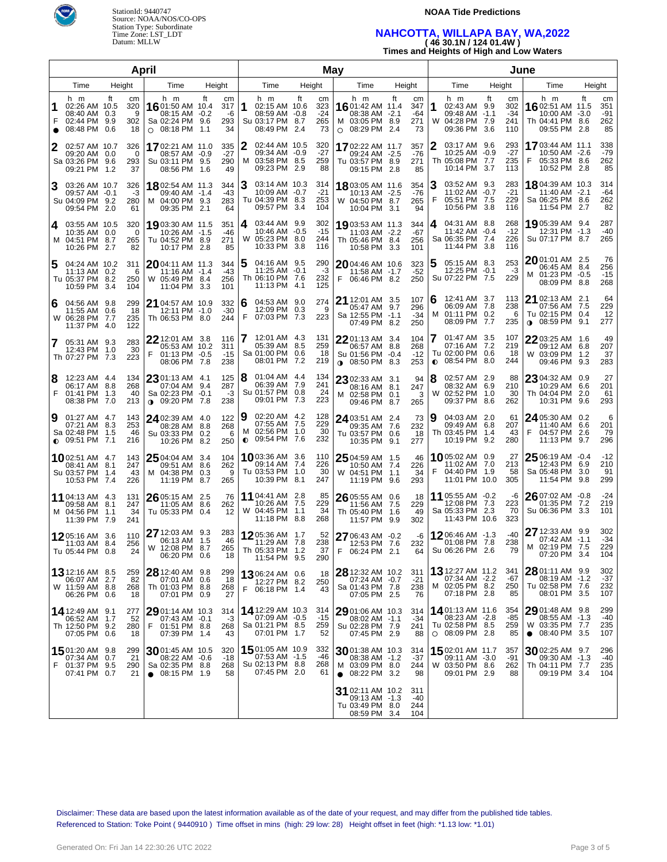

### **NOAA Tide Predictions**

# **NAHCOTTA, WILLAPA BAY, WA,2022 ( 46 30.1N / 124 01.4W )**

**Times and Heights of High and Low Waters**

|                     |                                                                       |                                          | April                                                                         |                                    | May                 |                                                                           |        |                                 |                                                                      |                               |        |                               |           | June                                                                        |                     |                                  |                                                                              |            |                               |  |  |
|---------------------|-----------------------------------------------------------------------|------------------------------------------|-------------------------------------------------------------------------------|------------------------------------|---------------------|---------------------------------------------------------------------------|--------|---------------------------------|----------------------------------------------------------------------|-------------------------------|--------|-------------------------------|-----------|-----------------------------------------------------------------------------|---------------------|----------------------------------|------------------------------------------------------------------------------|------------|-------------------------------|--|--|
|                     | Time                                                                  | Height                                   | Time                                                                          | Height                             | Time                |                                                                           | Height |                                 | Time                                                                 |                               | Height |                               |           | Time                                                                        | Height              |                                  | Time                                                                         | Height     |                               |  |  |
| 1<br>F<br>$\bullet$ | h m<br>02:26 AM 10.5<br>08:40 AM 0.3<br>02:44 PM 9.9<br>08:48 PM      | ft<br>сm<br>320<br>9<br>302<br>0.6<br>18 | h m<br>16 01:50 AM 10.4<br>08:15 AM -0.2<br>Sa 02:24 PM 9.6<br>○ 08:18 PM 1.1 | ft<br>cm<br>317<br>-6<br>293<br>34 | 1                   | h m<br>02:15 AM 10.6<br>08:59 AM -0.8<br>Su 03:17 PM 8.7<br>08:49 PM 2.4  | ft     | cm<br>323<br>$-24$<br>265<br>73 | h m<br><b>16</b> 01:42 AM 11.4<br>M 03:05 PM 8.9<br>$O$ 08:29 PM 2.4 | 08:38 AM -2.1                 | ft     | cm<br>347<br>-64<br>271<br>73 | 1         | h m<br>02:43 AM 9.9<br>09:48 AM<br>W 04:28 PM 7.9<br>09:36 PM               | ft<br>$-1.1$<br>3.6 | cm<br>302<br>$-34$<br>241<br>110 | h m<br>1602:51 AM 11.5<br>10:00 AM -3.0<br>Th 04:41 PM 8.6<br>09:55 PM 2.8   | ft         | cm<br>351<br>-91<br>262<br>85 |  |  |
| 2                   | 02:57 AM 10.7<br>09:20 AM 0.0<br>Sa 03:26 PM<br>09:21 PM              | 326<br>0<br>9.6<br>293<br>37<br>1.2      | 1702:21 AM 11.0<br>08:57 AM -0.9<br>Su 03:11 PM 9.5<br>08:56 PM               | 335<br>$-27$<br>290<br>49<br>1.6   | 2<br>м              | 02:44 AM 10.5<br>09:34 AM -0.9<br>03:58 PM 8.5<br>09:23 PM 2.9            |        | 320<br>$-27$<br>259<br>88       | 1702:22 AM 11.7<br>Tu 03:57 PM 8.9                                   | 09:24 AM -2.5<br>09:15 PM 2.8 |        | 357<br>$-76$<br>271<br>85     | 2         | 03:17 AM 9.6<br>10:25 AM<br>Th 05:08 PM<br>10:14 PM 3.7                     | $-0.9$<br>7.7       | 293<br>$-27$<br>235<br>113       | 1703:44 AM 11.1<br>10:50 AM -2.6<br>F<br>05:33 PM 8.6<br>10:52 PM 2.8        |            | 338<br>$-79$<br>262<br>85     |  |  |
| 3                   | 03:26 AM 10.7<br>09:57 AM -0.1<br>Su 04:09 PM<br>09:54 PM 2.0         | 326<br>-3<br>9.2<br>280<br>61            | 1802:54 AM 11.3<br>09:40 AM -1.4<br>M 04:00 PM 9.3<br>09:35 PM 2.1            | 344<br>-43<br>283<br>64            | З                   | 03:14 AM 10.3<br>10:09 AM -0.7<br>Tu 04:39 PM 8.3<br>09:57 PM 3.4         |        | 314<br>$-21$<br>253<br>104      | 1803:05 AM 11.6<br>W 04:50 PM 8.7                                    | 10:13 AM -2.5<br>10:04 PM 3.1 |        | 354<br>$-76$<br>265<br>94     | З<br>F    | 03:52 AM 9.3<br>11:02 AM<br>05:51 PM 7.5<br>10:56 PM                        | $-0.7$<br>3.8       | 283<br>$-21$<br>229<br>116       | 1804:39 AM 10.3<br>11:40 AM -2.1<br>Sa 06:25 PM 8.6<br>11:54 PM 2.7          |            | 314<br>$-64$<br>262<br>82     |  |  |
| 4                   | 03:55 AM 10.5<br>10:35 AM 0.0<br>M 04:51 PM 8.7<br>10:26 PM 2.7       | 320<br>0<br>265<br>82                    | 19 03:30 AM 11.5<br>10:26 AM -1.5<br>Tu 04:52 PM 8.9<br>10:17 PM 2.8          | 351<br>-46<br>271<br>85            | 4<br>W              | 03:44 AM 9.9<br>10:46 AM -0.5<br>05:23 PM 8.0<br>10:33 PM 3.8             |        | 302<br>$-15$<br>244<br>116      | 1903:53 AM 11.3<br>Th 05:46 PM 8.4                                   | 11:03 AM -2.2<br>10:58 PM 3.3 |        | 344<br>$-67$<br>256<br>101    | 4         | 04:31 AM 8.8<br>11:42 AM<br>Sa 06:35 PM 7.4<br>11:44 PM 3.8                 | $-0.4$              | 268<br>$-12$<br>226<br>116       | 1905:39 AM 9.4<br>12:31 PM -1.3<br>Su 07:17 PM 8.7                           |            | 287<br>$-40$<br>265           |  |  |
| 5                   | 04:24 AM 10.2<br>11:13 AM 0.2<br>Tu 05:37 PM 8.2<br>10:59 PM          | 311<br>6<br>250<br>3.4<br>104            | 2004:11 AM 11.3<br>11:16 AM -1.4<br>W 05:49 PM 8.4<br>11:04 PM 3.3            | 344<br>-43<br>256<br>101           | 5                   | 04:16 AM 9.5<br>$11:25$ AM $-0.1$<br>Th 06:10 PM 7.6<br>11:13 PM 4.1      |        | 290<br>-3<br>232<br>125         | 2004:46 AM 10.6<br>F<br>06:46 PM 8.2                                 | 11:58 AM -1.7                 |        | 323<br>$-52$<br>250           | 5         | 05:15 AM 8.3<br>12:25 PM -0.1<br>Su 07:22 PM 7.5                            |                     | 253<br>-3<br>229                 | 20 01:01 AM 2.5<br>06:45 AM 8.4<br>M 01:23 PM -0.5<br>08:09 PM 8.8           |            | 76<br>256<br>$-15$<br>268     |  |  |
| 6                   | 04:56 AM 9.8<br>11:55 AM 0.6<br>W 06:28 PM<br>11:37 PM                | 299<br>18<br>7.7<br>235<br>122<br>4.0    | 21 04:57 AM 10.9<br>12:11 PM -1.0<br>Th 06:53 PM 8.0                          | 332<br>$-30$<br>244                | 6<br>F              | 04:53 AM 9.0<br>12:09 PM 0.3<br>07:03 PM 7.3                              |        | 274<br>9<br>223                 | 21 12:01 AM 3.5<br>Sa 12:55 PM -1.1                                  | 05:47 AM 9.7<br>07:49 PM 8.2  |        | 107<br>296<br>$-34$<br>250    | 6<br>м    | 12:41 AM 3.7<br>06:09 AM<br>01:11 PM 0.2<br>08:09 PM                        | -7.8<br>7.7         | 113<br>238<br>6<br>235           | 21 02:13 AM 2.1<br>07:56 AM 7.5<br>Tu 02:15 PM 0.4<br>08:59 PM<br>$\bullet$  | 9.1        | 64<br>229<br>12<br>277        |  |  |
|                     | 7 05:31 AM 9.3<br>12:43 PM<br>Th 07:27 PM 7.3                         | 283<br>30<br>1.0<br>223                  | 22 12:01 AM 3.8<br>05:53 AM 10.2<br>01:13 PM -0.5<br>F<br>08:06 PM 7.8        | 116<br>311<br>$-15$<br>238         |                     | 12:01 AM 4.3<br>05:39 AM 8.5<br>Sa 01:00 PM 0.6<br>08:01 PM 7.2           |        | 131<br>259<br>18<br>219         | 2201:13 AM 3.4<br>Su 01:56 PM -0.4<br>$08:50$ PM 8.3                 | 06:57 AM 8.8                  |        | 104<br>268<br>$-12$<br>253    | $\bullet$ | 01:47 AM 3.5<br>07:16 AM<br>Tu 02:00 PM<br>08:54 PM                         | 7.2<br>0.6<br>8.0   | 107<br>219<br>18<br>244          | 2203:25 AM 1.6<br>09:12 AM 6.8<br>W 03:09 PM<br>09:46 PM                     | 1.2<br>9.3 | 49<br>207<br>37<br>283        |  |  |
| 8<br>F              | 12:23 AM 4.4<br>06:17 AM 8.8<br>01:41 PM<br>08:38 PM                  | 134<br>268<br>1.3<br>40<br>7.0<br>213    | 23 01:13 AM 4.1<br>07:04 AM 9.4<br>Sa 02:23 PM -0.1<br>$0.09:20$ PM 7.8       | 125<br>287<br>-3<br>238            | 8                   | $01:04$ AM $4.4$<br>06:39 AM 7.9<br>Su 01:57 PM 0.8<br>09:01 PM 7.3       |        | 134<br>241<br>24<br>223         | 23 02:33 AM 3.1<br>M 02:58 PM 0.1                                    | 08:16 AM 8.1<br>09:46 PM 8.7  |        | 94<br>247<br>3<br>265         | 8<br>W    | 02:57 AM 2.9<br>08:32 AM 6.9<br>02:52 PM<br>09:37 PM                        | 1.0<br>8.6          | 88<br>210<br>30<br>262           | 23 04:32 AM 0.9<br>10:29 AM 6.6<br>Th 04:04 PM<br>10:31 PM                   | 2.0<br>9.6 | 27<br>201<br>61<br>293        |  |  |
| 9                   | 01:27 AM 4.7<br>07:21 AM 8.3<br>Sa 02:48 PM<br>$\bullet$ 09:51 PM 7.1 | 143<br>253<br>1.5<br>46<br>216           | 24 02:39 AM 4.0<br>08:28 AM 8.8<br>Su 03:33 PM 0.2<br>10:26 PM 8.2            | 122<br>268<br>6<br>250             | 9<br>м<br>$\bullet$ | 02:20 AM 4.2<br>07:55 AM 7.5<br>02:56 PM 1.0<br>09:54 PM 7.6              |        | 128<br>229<br>30<br>232         | 24 03:51 AM 2.4<br>Tu 03:57 PM 0.6                                   | 09:35 AM 7.6<br>10:35 PM 9.1  |        | 73<br>232<br>18<br>277        | 9         | 04:03 AM 2.0<br>09:49 AM 6.8<br>Th 03:45 PM<br>10:19 PM                     | 1.4<br>9.2          | 61<br>207<br>43<br>280           | 24 05:30 AM 0.2<br>11:40 AM 6.6<br>F<br>04:57 PM<br>11:13 PM                 | 2.6<br>9.7 | 6<br>201<br>79<br>296         |  |  |
|                     | <b>10</b> 02:51 AM 4.7<br>08:41 AM 8.1<br>Su 03:57 PM<br>10:53 PM 7.4 | 143<br>247<br>1.4<br>43<br>226           | 25 04:04 AM 3.4<br>09:51 AM 8.6<br>M 04:38 PM<br>11:19 PM 8.7                 | 104<br>262<br>0.3<br>-9<br>265     |                     | <b>10</b> 03:36 AM 3.6<br>09:14 AM 7.4<br>Tu 03:53 PM 1.0<br>10:39 PM 8.1 |        | 110<br>226<br>30<br>247         | 25 04:59 AM 1.5<br>W 04:51 PM 1.1                                    | 10:50 AM 7.4<br>11:19 PM 9.6  |        | 46<br>226<br>34<br>293        | F         | 1005:02 AM 0.9<br>11:02 AM 7.0<br>04:40 PM 1.9<br>11:01 PM 10.0             |                     | 27<br>213<br>58<br>305           | $25$ 06:19 AM $\,$ -0.4 $\,$<br>12:43 PM 6.9<br>Sa 05:48 PM<br>11:54 PM      | 3.0<br>9.8 | $-12$<br>210<br>91<br>299     |  |  |
|                     | <b>11</b> 04:13 AM 4.3<br>09:58 AM 8.1<br>M 04:56 PM<br>11:39 PM 7.9  | 131<br>247<br>34<br>1.1<br>241           | 26 05:15 AM 2.5<br>11:05 AM 8.6<br>Tu 05:33 PM 0.4                            | 76<br>262<br>12                    |                     | 11 04:41 AM 2.8<br>10:26 AM 7.5<br>W 04:45 PM 1.1<br>11:18 PM 8.8         |        | 85<br>229<br>34<br>268          | 26 05:55 AM 0.6<br>Th 05:40 PM 1.6                                   | 11:56 AM 7.5<br>11:57 PM 9.9  |        | 18<br>229<br>49<br>302        |           | <b>11</b> 05:55 AM -0.2<br>12:08 PM 7.3<br>Sa 05:33 PM 2.3<br>11:43 PM 10.6 |                     | -6<br>223<br>70<br>323           | 26 07:02 AM -0.8<br>01:35 PM 7.2<br>Su 06:36 PM 3.3                          |            | -24<br>219<br>101             |  |  |
|                     | 1205:16 AM 3.6<br>11:03 AM 8.4<br>Tu 05:44 PM 0.8                     | 110<br>256<br>24                         | 27 12:03 AM 9.3<br>06:13 AM 1.5<br>W 12:08 PM 8.7<br>06:20 PM 0.6             | 283<br>46<br>265<br>18             |                     | 1205:36 AM 1.7<br>11:29 AM 7.8<br>Th 05:33 PM 1.2<br>11:54 PM 9.5         |        | 52<br>238<br>37<br>290          | 27 06:43 AM -0.2<br>۲.<br>06:24 PM 2.1                               | 12:53 PM 7.6                  |        | -6<br>232<br>64               |           | 12 06:46 AM -1.3<br>01:08 PM 7.8<br>Su 06:26 PM 2.6                         |                     | -40<br>238<br>79                 | <b>27</b> 12:33 AM 9.9<br>07:42 AM -1.1<br>M 02:19 PM 7.5<br>07:20 PM 3.4    |            | 302<br>-34<br>229<br>104      |  |  |
|                     | 13 12:16 AM 8.5<br>06:07 AM 2.7<br>W 11:59 AM 8.8<br>06:26 PM 0.6     | 259<br>82<br>268<br>18                   | 28 12:40 AM 9.8<br>07:01 AM 0.6<br>Th 01:03 PM 8.8<br>07:01 PM 0.9            | 299<br>18<br>268<br>27             | F                   | 1306:24 AM 0.6<br>12:27 PM 8.2<br>06:18 PM 1.4                            |        | 18<br>250<br>43                 | 28 12:32 AM 10.2<br>Sa 01:43 PM 7.8                                  | 07:24 AM -0.7<br>07:05 PM 2.5 |        | 311<br>$-21$<br>238<br>76     |           | 13 12:27 AM 11.2<br>07:34 AM -2.2<br>M 02:05 PM 8.2<br>07:18 PM 2.8         |                     | 341<br>-67<br>250<br>85          | 28 01:11 AM 9.9<br>08:19 AM -1.2<br>Tu 02:58 PM 7.6<br>08:01 PM 3.5          |            | 302<br>-37<br>232<br>107      |  |  |
|                     | 14 12:49 AM 9.1<br>06:52 AM 1.7<br>Th 12:50 PM 9.2<br>07:05 PM 0.6    | 277<br>52<br>280<br>18                   | $2901:14$ AM $10.3$<br>07:43 AM -0.1<br>F<br>01:51 PM 8.8<br>07:39 PM 1.4     | 314<br>-3<br>268<br>43             |                     | 14 12:29 AM 10.3<br>07:09 AM -0.5<br>Sa 01:21 PM 8.5<br>07:01 PM 1.7      |        | 314<br>$-15$<br>259<br>52       | 29 01:06 AM 10.3<br>Su 02:28 PM 7.9                                  | 08:02 AM -1.1<br>07:45 PM 2.9 |        | 314<br>$-34$<br>241<br>88     |           | 1401:13 AM 11.6<br>08:23 AM -2.8<br>Tu 02:58 PM 8.5<br>$O$ 08:09 PM 2.8     |                     | 354<br>-85<br>259<br>85          | 29 01:48 AM 9.8<br>08:55 AM -1.3<br>W 03:35 PM 7.7<br>$\bullet$ 08:40 PM 3.5 |            | 299<br>-40<br>235<br>107      |  |  |
| F                   | 15 01:20 AM 9.8<br>07:34 AM<br>01:37 PM 9.5<br>07:41 PM 0.7           | 299<br>0.7<br>21<br>290<br>21            | 3001:45 AM 10.5<br>08:22 AM -0.6<br>Sa 02:35 PM 8.8<br>$\bullet$ 08:15 PM 1.9 | 320<br>$-18$<br>268<br>58          |                     | 1501:05 AM 10.9<br>07:53 AM -1.5<br>Su 02:13 PM 8.8<br>07:45 PM 2.0       |        | 332<br>-46<br>268<br>61         | 3001:38 AM 10.3<br>M 03:09 PM 8.0<br>$\bullet$ 08:22 PM 3.2          | 08:38 AM -1.2                 |        | 314<br>-37<br>244<br>98       |           | 1502:01 AM 11.7<br>09:11 AM -3.0<br>W 03:50 PM 8.6<br>09:01 PM 2.9          |                     | 357<br>-91<br>262<br>88          | $3002:25$ AM 9.7<br>09:30 AM -1.3<br>Th 04:11 PM 7.7<br>09:19 PM 3.4         |            | 296<br>-40<br>235<br>104      |  |  |
|                     |                                                                       |                                          |                                                                               |                                    |                     |                                                                           |        |                                 | 31 02:11 AM 10.2<br>Tu 03:49 PM 8.0                                  | 09:13 AM -1.3<br>08:59 PM 3.4 |        | 311<br>-40<br>244<br>104      |           |                                                                             |                     |                                  |                                                                              |            |                               |  |  |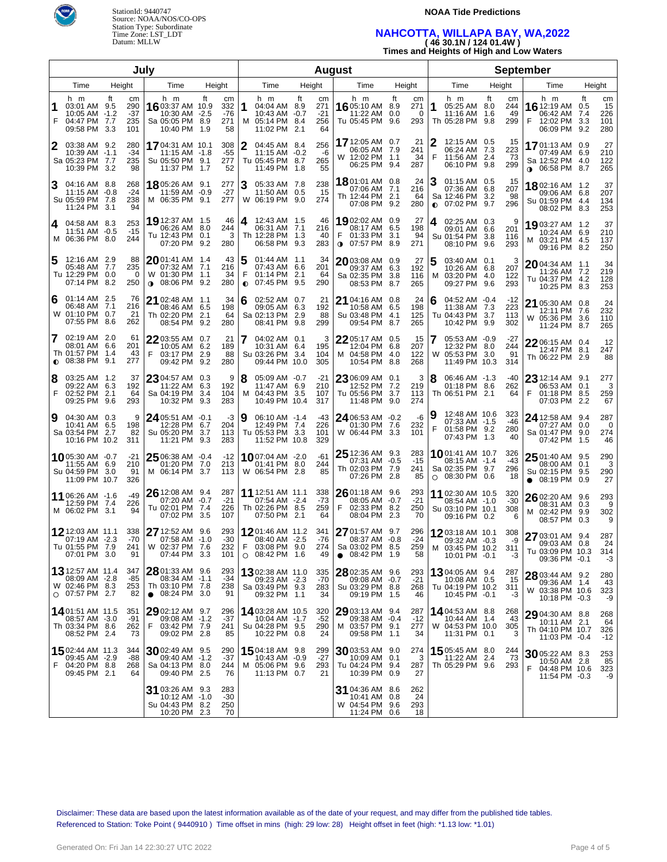

### **NOAA Tide Predictions**

## **NAHCOTTA, WILLAPA BAY, WA,2022 ( 46 30.1N / 124 01.4W )**

**Times and Heights of High and Low Waters**

|                |                                                                                    |                                               | Julv |                                                                                        |                   |                                 | <b>August</b>  |                                                                             |    |                                 |                                                                                  |           |                           |           | <b>September</b>                                                                |                   |                          |                                                                            |                         |                               |  |
|----------------|------------------------------------------------------------------------------------|-----------------------------------------------|------|----------------------------------------------------------------------------------------|-------------------|---------------------------------|----------------|-----------------------------------------------------------------------------|----|---------------------------------|----------------------------------------------------------------------------------|-----------|---------------------------|-----------|---------------------------------------------------------------------------------|-------------------|--------------------------|----------------------------------------------------------------------------|-------------------------|-------------------------------|--|
| Height<br>Time |                                                                                    |                                               |      | Time                                                                                   | Height            |                                 |                | Time                                                                        |    | Height                          | Time                                                                             | Height    |                           |           | Time                                                                            | Height            |                          | Time                                                                       | Height                  |                               |  |
| 1<br>F         | h m<br>03:01 AM 9.5<br>10:05 AM -1.2<br>04:47 PM<br>09:58 PM 3.3                   | ft<br>сm<br>290<br>$-37$<br>235<br>7.7<br>101 |      | h m<br>16 03:37 AM 10.9<br>10:30 AM -2.5<br>Sa 05:05 PM 8.9<br>10:40 PM 1.9            | ft                | cm<br>332<br>$-76$<br>271<br>58 | 1<br>м         | h m<br>04:04 AM 8.9<br>10:43 AM -0.7<br>05:14 PM 8.4<br>11:02 PM 2.1        | ft | cm<br>271<br>$-21$<br>256<br>64 | h m<br>16 05:10 AM 8.9<br>11:22 AM 0.0<br>Tu 05:45 PM                            | ft<br>9.6 | cm<br>271<br>0<br>293     | 1         | h m<br>05:25 AM 8.0<br>11:16 AM<br>Th 05:28 PM                                  | ft<br>1.6<br>9.8  | cm<br>244<br>49<br>299   | h m<br><b>16</b> 12:19 AM<br>06:42 AM<br>F<br>12:02 PM<br>06:09 PM 9.2     | ft<br>0.5<br>7.4<br>3.3 | cm<br>15<br>226<br>101<br>280 |  |
| 2              | 03:38 AM 9.2<br>10:39 AM -1.1<br>Sa 05:23 PM 7.7<br>10:39 PM 3.2                   | 280<br>$-34$<br>235<br>98                     |      | 1704:31 AM 10.1<br>11:15 AM -1.8<br>Su 05:50 PM 9.1<br>11:37 PM 1.7                    |                   | 308<br>$-55$<br>277<br>52       |                | 04:45 AM 8.4<br>11:15 AM -0.2<br>Tu 05:45 PM 8.7<br>11:49 PM 1.8            |    | 256<br>-6<br>265<br>55          | 17 12:05 AM 0.7<br>06:05 AM 7.9<br>W 12:02 PM 1.1<br>06:25 PM 9.4                |           | 21<br>241<br>34<br>287    | F         | 12:15 AM 0.5<br>06:24 AM<br>11:56 AM<br>06:10 PM 9.8                            | 7.3<br>-2.4       | 15<br>223<br>-73<br>299  | 1701:13 AM 0.9<br>07:49 AM 6.9<br>Sa 12:52 PM 4.0<br><b>0</b> 06:58 PM 8.7 |                         | 27<br>210<br>122<br>265       |  |
| 3              | 04:16 AM 8.8<br>$11:15$ AM $-0.8$<br>Su 05:59 PM 7.8<br>11:24 PM 3.1               | 268<br>$-24$<br>238<br>94                     |      | 18 05:26 AM 9.1<br>11:59 AM -0.9<br>M 06:35 PM 9.1                                     |                   | 277<br>$-27$<br>277             | 3<br>W         | 05:33 AM 7.8<br>11:50 AM 0.5<br>06:19 PM 9.0                                |    | 238<br>15<br>274                | 18 01:01 AM 0.8<br>07:06 AM 7.1<br>Th 12:44 PM 2.1<br>07:08 PM 9.2               |           | 24<br>216<br>64<br>280    | $\bullet$ | 01:15 AM 0.5<br>07:36 AM<br>Sa 12:46 PM<br>07:02 PM 9.7                         | 6.8<br>3.2        | 15<br>207<br>98<br>296   | 1802:16 AM 1.2<br>09:06 AM 6.8<br>Su 01:59 PM 4.4<br>08:02 PM 8.3          |                         | 37<br>207<br>134<br>253       |  |
| 4              | 04:58 AM 8.3<br>11:51 AM -0.5<br>M 06:36 PM 8.0                                    | 253<br>$-15$<br>244                           |      | 19 12:37 AM 1.5<br>06:26 AM 8.0<br>Tu 12:43 PM 0.1<br>07:20 PM 9.2                     |                   | 46<br>244<br>3<br>280           | 4              | 12:43 AM 1.5<br>06:31 AM 7.1<br>Th 12:28 PM 1.3<br>06:58 PM 9.3             |    | 46<br>216<br>40<br>283          | 1902:02 AM 0.9<br>08:17 AM 6.5<br>F<br>01:33 PM 3.1<br>$\bullet$ 07:57 PM 8.9    |           | 27<br>198<br>94<br>271    | 4         | 02:25 AM 0.3<br>09:01 AM<br>Su 01:54 PM<br>08:10 PM                             | 6.6<br>3.8<br>9.6 | 9<br>201<br>116<br>293   | 1903:27 AM 1.2<br>10:24 AM 6.9<br>M 03:21 PM 4.5<br>09:16 PM 8.2           |                         | 37<br>210<br>137<br>250       |  |
| 5              | 12:16 AM 2.9<br>05:48 AM<br>Tu 12:29 PM 0.0<br>07:14 PM 8.2                        | 88<br>7.7<br>235<br>250                       | 0    | $20$ 01:41 AM $\,$ 1.4 $\,$<br>07:32 AM 7.1<br>W 01:30 PM 1.1<br><b>⊕</b> 08:06 PM 9.2 |                   | 43<br>216<br>34<br>280          | F<br>$\bullet$ | 01:44 AM 1.1<br>07:43 AM 6.6<br>$01:14$ PM 2.1<br>07:45 PM 9.5              |    | 34<br>201<br>64<br>290          | $20$ 03:08 AM 0.9<br>09:37 AM 6.3<br>Sa 02:35 PM 3.8<br>08:53 PM 8.7             |           | 27<br>192<br>116<br>265   | м         | 03:40 AM 0.1<br>10:26 AM<br>03:20 PM 4.0<br>09:27 PM                            | 6.8<br>9.6        | 3<br>207<br>122<br>293   | $2004:34$ AM 1.1<br>11:26 AM 7.2<br>Tu 04:37 PM 4.2<br>10:25 PM 8.3        |                         | 34<br>219<br>128<br>253       |  |
| 6              | 01:14 AM 2.5<br>06:48 AM<br>W 01:10 PM<br>07:55 PM 8.6                             | 76<br>7.1<br>216<br>21<br>0.7<br>262          |      | <b>21</b> 02:48 AM 1.1<br>08:46 AM 6.5<br>Th 02:20 PM<br>08:54 PM                      | 2.1<br>9.2        | 34<br>198<br>64<br>280          | 6              | 02:52 AM 0.7<br>09:05 AM 6.3<br>Sa 02:13 PM 2.9<br>08:41 PM 9.8             |    | 21<br>192<br>88<br>299          | $21$ 04:16 AM $\,$ 0.8<br>10:58 AM 6.5<br>Su 03:48 PM 4.1<br>09:54 PM 8.7        |           | 24<br>198<br>125<br>265   | 6         | 04:52 AM -0.4<br>11:38 AM<br>Tu 04:43 PM<br>10:42 PM                            | 7.3<br>3.7<br>9.9 | -12<br>223<br>113<br>302 | 21 05:30 AM 0.8<br>12:11 PM<br>W 05:36 PM 3.6<br>11:24 PM 8.7              | 7.6                     | 24<br>232<br>110<br>265       |  |
|                | 02:19 AM 2.0<br>08:01 AM 6.6<br>Th 01:57 PM<br>$\bullet$ 08:38 PM                  | 61<br>201<br>43<br>-1.4<br>9.1<br>277         |      | 22 03:55 AM 0.7<br>10:05 AM 6.2<br>F<br>03:17 PM<br>09:42 PM                           | 2.9<br>9.2        | 21<br>189<br>88<br>280          |                | $04:02$ AM $0.1$<br>10:31 AM 6.4<br>Su 03:26 PM 3.4<br>09:44 PM 10.0        |    | 3<br>195<br>104<br>305          | $2205:17$ AM $0.5$<br>12:04 PM 6.8<br>M 04:58 PM 4.0<br>10:54 PM 8.8             |           | 15<br>207<br>122<br>268   | 7<br>W    | 05:53 AM -0.9<br>12:32 PM<br>05:53 PM 3.0<br>11:49 PM 10.3                      | 8.0               | -27<br>244<br>91<br>314  | $2206:15$ AM 0.4<br>12:47 PM<br>Th 06:22 PM 2.9                            | - 8.1                   | 12<br>247<br>88               |  |
| 8<br>F         | 03:25 AM 1.2<br>09:22 AM 6.3<br>02:52 PM<br>09:25 PM                               | 37<br>192<br>2.1<br>64<br>9.6<br>293          |      | $2304:57$ AM 0.3<br>11:22 AM<br>Sa 04:19 PM<br>10:32 PM                                | 6.3<br>3.4<br>9.3 | 9<br>192<br>104<br>283          | 8<br>м         | 05:09 AM -0.7<br>11:47 AM 6.9<br>04:43 PM 3.5<br>10:49 PM 10.4              |    | $-21$<br>210<br>107<br>317      | $2306:09$ AM $0.1$<br>12:52 PM 7.2<br>Tu 05:56 PM 3.7<br>11:48 PM 9.0            |           | 3<br>219<br>113<br>274    | 8         | 06:46 AM -1.3<br>01:18 PM<br>Th 06:51 PM 2.1                                    | 8.6               | -40<br>262<br>64         | $23$ 12:14 AM 9.1<br>06:53 AM 0.1<br>F<br>01:18 PM 8.5<br>07:03 PM         | 2.2                     | 277<br>3<br>259<br>67         |  |
| 9              | 04:30 AM 0.3<br>10:41 AM 6.5<br>Sa 03:54 PM<br>10:16 PM 10.2                       | 198<br>2.7<br>82<br>311                       | 9    | 24 05:51 AM -0.1<br>12:28 PM 6.7<br>Su 05:20 PM<br>11:21 PM                            | 3.7<br>9.3        | -3<br>204<br>113<br>283         | 9              | 06:10 AM -1.4<br>12:49 PM 7.4<br>Tu 05:53 PM 3.3<br>11:52 PM 10.8           |    | -43<br>226<br>101<br>329        | 24 06:53 AM -0.2<br>01:30 PM 7.6<br>W 06:44 PM 3.3                               |           | -6<br>232<br>101          | F         | 12:48 AM 10.6<br>07:33 AM -1.5<br>01:58 PM 9.2<br>07:43 PM 1.3                  |                   | 323<br>-46<br>280<br>40  | <b>24</b> 12:58 AM 9.4<br>07:27 AM 0.0<br>Sa 01:47 PM 9.0<br>07:42 PM 1.5  |                         | 287<br>0<br>274<br>46         |  |
|                | 1005:30 AM -0.7<br>11:55 AM 6.9<br>Su 04:59 PM 3.0<br>11:09 PM 10.7                | $-21$<br>210<br>91<br>326                     |      | $2506:38$ AM $-0.4$<br>01:20 PM 7.0<br>M 06:14 PM 3.7                                  |                   | $-12$<br>213<br>113             |                | <b>10</b> 07:04 AM -2.0<br>01:41 PM 8.0<br>W 06:54 PM 2.8                   |    | -61<br>244<br>85                | $25$ 12:36 AM 9.3<br>07:31 AM -0.5<br>Th 02:03 PM 7.9<br>07:26 PM 2.8            |           | 283<br>$-15$<br>241<br>85 |           | <b>10</b> 01:41 AM 10.7<br>08:15 AM -1.4<br>Sa 02:35 PM 9.7<br>$O$ 08:30 PM 0.6 |                   | 326<br>-43<br>296<br>18  | $2501:40$ AM $9.5$<br>08:00 AM 0.1<br>Su 02:15 PM<br>$\bullet$ 08:19 PM    | 9.5<br>0.9              | 290<br>3<br>290<br>27         |  |
|                | 11 06:26 AM -1.6<br>12:59 PM<br>M 06:02 PM 3.1                                     | -49<br>226<br>-7.4<br>94                      |      | 26 12:08 AM 9.4<br>07:20 AM -0.7<br>Tu 02:01 PM 7.4<br>07:02 PM 3.5                    |                   | 287<br>$-21$<br>226<br>107      |                | <b>11</b> 12:51 AM 11.1<br>07:54 AM -2.4<br>Th 02:26 PM 8.5<br>07:50 PM 2.1 |    | 338<br>$-73$<br>259<br>64       | 26 01:18 AM 9.6<br>08:05 AM -0.7<br>F<br>02:33 PM 8.2<br>08:04 PM 2.3            |           | 293<br>$-21$<br>250<br>70 |           | 11 02:30 AM 10.5<br>08:54 AM -1.0<br>Su 03:10 PM 10.1<br>09:16 PM 0.2           |                   | 320<br>$-30$<br>308<br>6 | 26 02:20 AM 9.6<br>08:31 AM 0.3<br>M 02:42 PM<br>08:57 PM                  | 9.9<br>0.3              | 293<br>9<br>302<br>9          |  |
|                | 12 12:03 AM 11.1<br>07:19 AM -2.3<br>Tu 01:55 PM 7.9<br>07:01 PM 3.0               | 338<br>$-70$<br>241<br>91                     |      | 27 12:52 AM 9.6<br>07:58 AM -1.0<br>W 02:37 PM 7.6<br>07:44 PM 3.3                     |                   | 293<br>$-30$<br>232<br>101      | F              | 1201:46 AM 11.2<br>08:40 AM -2.5<br>03:08 PM 9.0<br>$O$ 08:42 PM 1.6        |    | 341<br>$-76$<br>274<br>49       | 27 01:57 AM 9.7<br>08:37 AM -0.8<br>Sa 03:02 PM 8.5<br>08:42 PM 1.9<br>$\bullet$ |           | 296<br>$-24$<br>259<br>58 |           | 1203:18 AM 10.1<br>09:32 AM -0.3<br>M 03:45 PM 10.2<br>10:01 PM -0.1            |                   | 308<br>-9<br>311<br>-3   | 27 03:01 AM 9.4<br>09:03 AM 0.8<br>Tu 03:09 PM 10.3<br>09:36 PM -0.1       |                         | 287<br>24<br>314<br>-3        |  |
|                | <b>13</b> 12:57 AM 11.4<br>08:09 AM -2.8<br>W 02:46 PM 8.3<br>$\circ$ 07:57 PM 2.7 | 347<br>-85<br>253<br>82                       |      | $2801:33$ AM $9.6$<br>08:34 AM -1.1<br>Th 03:10 PM 7.8<br>$\bullet$ 08:24 PM 3.0       |                   | 293<br>$-34$<br>238<br>91       |                | 1302:38 AM 11.0<br>09:23 AM -2.3<br>Sa 03:49 PM 9.3<br>09:32 PM 1.1         |    | 335<br>$-70$<br>283<br>34       | 28 02:35 AM 9.6<br>09:08 AM -0.7<br>Su 03:29 PM 8.8<br>09:19 PM 1.5              |           | 293<br>$-21$<br>268<br>46 |           | <b>13</b> 04:05 AM 9.4<br>10:08 AM 0.5<br>Tu 04:19 PM 10.2<br>10:45 PM -0.1     |                   | 287<br>15<br>311<br>-3   | 28 03:44 AM 9.2<br>09:36 AM 1.4<br>W 03:38 PM 10.6<br>10:18 PM -0.3        |                         | 280<br>43<br>323<br>-9        |  |
|                | 1401:51 AM 11.5<br>08:57 AM -3.0<br>Th 03:34 PM 8.6<br>08:52 PM 2.4                | 351<br>-91<br>262<br>73                       |      | 29 02:12 AM 9.7<br>09:08 AM -1.2<br>F<br>03:42 PM 7.9<br>09:02 PM 2.8                  |                   | 296<br>-37<br>241<br>85         |                | 1403:28 AM 10.5<br>10:04 AM -1.7<br>Su 04:28 PM 9.5<br>10:22 PM 0.8         |    | 320<br>$-52$<br>290<br>24       | 29 03:13 AM 9.4<br>09:38 AM -0.4<br>M 03:57 PM 9.1<br>09:58 PM 1.1               |           | 287<br>$-12$<br>277<br>34 |           | <b>14</b> 04:53 AM 8.8<br>10:44 AM 1.4<br>W 04:53 PM 10.0<br>11:31 PM 0.1       |                   | 268<br>43<br>305<br>3    | 29 04:30 AM 8.8<br>10:11 AM 2.1<br>Th 04:10 PM 10.7<br>11:03 PM -0.4       |                         | 268<br>64<br>326<br>$-12$     |  |
| F.             | 1502:44 AM 11.3<br>09:45 AM -2.9<br>04:20 PM 8.8<br>09:45 PM 2.1                   | 344<br>-88<br>268<br>64                       |      | $30$ 02:49 AM 9.5<br>09:40 AM -1.2<br>Sa 04:13 PM 8.0<br>09:40 PM 2.5                  |                   | 290<br>-37<br>244<br>76         |                | <b>15</b> 04:18 AM 9.8<br>10:43 AM -0.9<br>M 05:06 PM 9.6<br>11:13 PM 0.7   |    | 299<br>$-27$<br>293<br>21       | 30 03:53 AM 9.0<br>10:09 AM 0.1<br>Tu 04:24 PM 9.4<br>10:39 PM 0.9               |           | 274<br>3<br>287<br>27     |           | 15 05:45 AM 8.0<br>11:22 AM<br>Th 05:29 PM 9.6                                  | 2.4               | 244<br>-73<br>293        | 30 05:22 AM 8.3<br>10:50 AM 2.8<br>F<br>04:48 PM 10.6<br>11:54 PM -0.3     |                         | 253<br>85<br>323<br>-9        |  |
|                |                                                                                    |                                               |      | 31 03:26 AM 9.3<br>10:12 AM -1.0<br>Su 04:43 PM 8.2<br>10:20 PM 2.3                    |                   | 283<br>$-30$<br>250<br>70       |                |                                                                             |    |                                 | 31 04:36 AM 8.6<br>10:41 AM 0.8<br>W 04:54 PM 9.6<br>11:24 PM 0.6                |           | 262<br>24<br>293<br>18    |           |                                                                                 |                   |                          |                                                                            |                         |                               |  |